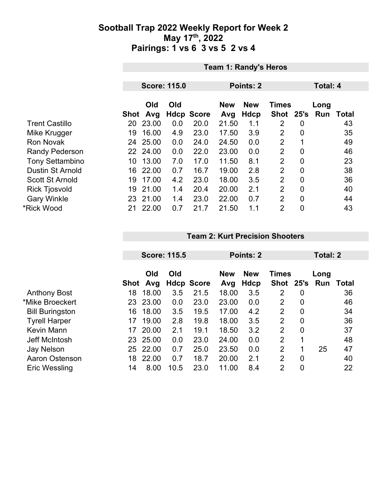### **Sootball Trap 2022 Weekly Report for Week 2 May 17th, 2022 Pairings: 1 vs 6 3 vs 5 2 vs 4**

|                         | <b>Team 1: Randy's Heros</b> |            |                     |                   |                   |                           |                           |                  |                 |              |  |
|-------------------------|------------------------------|------------|---------------------|-------------------|-------------------|---------------------------|---------------------------|------------------|-----------------|--------------|--|
|                         |                              |            |                     |                   |                   |                           |                           |                  |                 |              |  |
|                         |                              |            | <b>Score: 115.0</b> |                   | Points: 2         |                           |                           |                  | <b>Total: 4</b> |              |  |
|                         | Shot                         | Old<br>Avg | Old                 | <b>Hdcp Score</b> | <b>New</b><br>Avg | <b>New</b><br><b>Hdcp</b> | <b>Times</b><br>Shot 25's |                  | Long<br>Run     | <b>Total</b> |  |
| <b>Trent Castillo</b>   | 20                           | 23.00      | 0.0                 | 20.0              | 21.50             | 1.1                       | 2                         | 0                |                 | 43           |  |
| Mike Krugger            | 19                           | 16.00      | 4.9                 | 23.0              | 17.50             | 3.9                       | $\overline{2}$            | $\overline{0}$   |                 | 35           |  |
| <b>Ron Novak</b>        | 24                           | 25.00      | 0.0                 | 24.0              | 24.50             | 0.0                       | $\overline{2}$            |                  |                 | 49           |  |
| <b>Randy Pederson</b>   |                              | 22 24.00   | 0.0                 | 22.0              | 23.00             | 0.0                       | $\overline{2}$            | $\overline{0}$   |                 | 46           |  |
| <b>Tony Settambino</b>  | 10                           | 13.00      | 7.0                 | 17.0              | 11.50             | 8.1                       | $\overline{2}$            | $\overline{0}$   |                 | 23           |  |
| <b>Dustin St Arnold</b> | 16                           | 22.00      | 0.7                 | 16.7              | 19.00             | 2.8                       | 2                         | $\boldsymbol{0}$ |                 | 38           |  |
| <b>Scott St Arnold</b>  | 19                           | 17.00      | 4.2                 | 23.0              | 18.00             | 3.5                       | $\overline{2}$            | $\overline{0}$   |                 | 36           |  |
| <b>Rick Tjosvold</b>    | 19                           | 21.00      | 1.4                 | 20.4              | 20.00             | 2.1                       | $\overline{2}$            | $\overline{0}$   |                 | 40           |  |
| <b>Gary Winkle</b>      |                              | 23 21.00   | 1.4                 | 23.0              | 22.00             | 0.7                       | $\overline{2}$            | $\mathbf 0$      |                 | 44           |  |
| *Rick Wood              | 21                           | 22.00      | 0.7                 | 21.7              | 21.50             | 1.1                       | $\overline{2}$            | $\overline{0}$   |                 | 43           |  |

#### **Team 2: Kurt Precision Shooters**

|                        |      | <b>Score: 115.5</b> |      |                   | Points: 2         | <b>Total: 2</b>    |                           |                |             |       |
|------------------------|------|---------------------|------|-------------------|-------------------|--------------------|---------------------------|----------------|-------------|-------|
|                        | Shot | Old<br>Avg          | Old  | <b>Hdcp Score</b> | <b>New</b><br>Avg | <b>New</b><br>Hdcp | <b>Times</b><br>Shot 25's |                | Long<br>Run | Total |
| <b>Anthony Bost</b>    | 18   | 18.00               | 3.5  | 21.5              | 18.00             | 3.5                | 2                         | 0              |             | 36    |
| *Mike Broeckert        | 23   | 23.00               | 0.0  | 23.0              | 23.00             | 0.0                | $\overline{2}$            | $\mathbf 0$    |             | 46    |
| <b>Bill Buringston</b> | 16   | 18.00               | 3.5  | 19.5              | 17.00             | 4.2                | $\overline{2}$            | $\mathbf 0$    |             | 34    |
| <b>Tyrell Harper</b>   | 17   | 19.00               | 2.8  | 19.8              | 18.00             | 3.5                | $\overline{2}$            | $\overline{0}$ |             | 36    |
| <b>Kevin Mann</b>      | 17   | 20.00               | 2.1  | 19.1              | 18.50             | 3.2                | 2                         | $\overline{0}$ |             | 37    |
| Jeff McIntosh          | 23   | 25.00               | 0.0  | 23.0              | 24.00             | 0.0                | $\overline{2}$            | 1              |             | 48    |
| Jay Nelson             | 25   | 22.00               | 0.7  | 25.0              | 23.50             | 0.0                | $\overline{2}$            | 1              | 25          | 47    |
| Aaron Ostenson         | 18   | 22.00               | 0.7  | 18.7              | 20.00             | 2.1                | 2                         | 0              |             | 40    |
| Eric Wessling          | 14   | 8.00                | 10.5 | 23.0              | 11.00             | 8.4                | 2                         | $\overline{0}$ |             | 22    |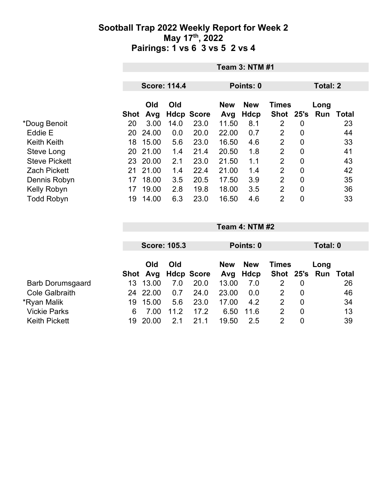### **Sootball Trap 2022 Weekly Report for Week 2 May 17th, 2022 Pairings: 1 vs 6 3 vs 5 2 vs 4**

|                      |             | <b>Team 3: NTM #1</b> |                     |                   |                   |                    |                      |             |                  |       |  |
|----------------------|-------------|-----------------------|---------------------|-------------------|-------------------|--------------------|----------------------|-------------|------------------|-------|--|
|                      |             |                       | <b>Score: 114.4</b> |                   | Points: 0         |                    |                      |             | <b>Total: 2</b>  |       |  |
|                      | <b>Shot</b> | Old<br>Avg            | Old                 | <b>Hdcp Score</b> | <b>New</b><br>Avg | <b>New</b><br>Hdcp | <b>Times</b><br>Shot |             | Long<br>25's Run | Total |  |
| *Doug Benoit         | 20          | 3.00                  | 14.0                | 23.0              | 11.50             | 8.1                | 2                    | 0           |                  | 23    |  |
| Eddie E              | 20          | 24.00                 | 0.0                 | 20.0              | 22.00             | 0.7                | 2                    | 0           |                  | 44    |  |
| <b>Keith Keith</b>   | 18          | 15.00                 | 5.6                 | 23.0              | 16.50             | 4.6                | 2                    | 0           |                  | 33    |  |
| Steve Long           | 20          | 21.00                 | 1.4                 | 21.4              | 20.50             | 1.8                | 2                    | 0           |                  | 41    |  |
| <b>Steve Pickett</b> | 23          | 20.00                 | 2.1                 | 23.0              | 21.50             | 1.1                | $\overline{2}$       | 0           |                  | 43    |  |
| <b>Zach Pickett</b>  | 21          | 21.00                 | 1.4                 | 22.4              | 21.00             | 1.4                | $\overline{2}$       | 0           |                  | 42    |  |
| Dennis Robyn         | 17          | 18.00                 | 3.5                 | 20.5              | 17.50             | 3.9                | $\overline{2}$       | $\mathbf 0$ |                  | 35    |  |
| Kelly Robyn          | 17          | 19.00                 | 2.8                 | 19.8              | 18.00             | 3.5                | $\overline{2}$       | 0           |                  | 36    |  |
| <b>Todd Robyn</b>    | 19          | 14.00                 | 6.3                 | 23.0              | 16.50             | 4.6                | 2                    | 0           |                  | 33    |  |

|                         | <b>Score: 105.3</b> |       |      |                     |            | Points: 0  |              |                  |               | Total: 0 |  |
|-------------------------|---------------------|-------|------|---------------------|------------|------------|--------------|------------------|---------------|----------|--|
|                         |                     |       |      |                     |            |            |              |                  |               |          |  |
|                         |                     | Old   | Old  |                     | <b>New</b> | <b>New</b> | <b>Times</b> |                  | Long          |          |  |
|                         |                     |       |      | Shot Avg Hdcp Score |            | Avg Hdcp   |              |                  | Shot 25's Run | Total    |  |
| <b>Barb Dorumsgaard</b> | 13.                 | 13.00 | 7.0  | 20.0                | 13.00      | 7.0        |              | 0                |               | 26       |  |
| <b>Cole Galbraith</b>   | 24.                 | 22.00 | 0.7  | 24.0                | 23.00      | 0.0        | 2            | $\boldsymbol{0}$ |               | 46       |  |
| *Ryan Malik             | 19                  | 15.00 | 5.6  | 23.0                | 17.00      | 4.2        | 2            | 0                |               | 34       |  |
| <b>Vickie Parks</b>     | 6                   | 7.00  | 11.2 | 17.2                | 6.50       | 11.6       | 2            | $\overline{0}$   |               | 13       |  |
| <b>Keith Pickett</b>    | 19                  | 20.00 | 2.1  | 21.1                | 19.50      | 2.5        |              |                  |               | 39       |  |

**Team 4: NTM #2**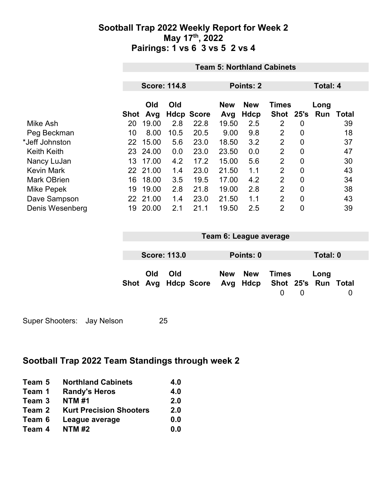## **Sootball Trap 2022 Weekly Report for Week 2 May 17th, 2022 Pairings: 1 vs 6 3 vs 5 2 vs 4**

|                    |      | <b>Team 5: Northland Cabinets</b> |      |                   |                   |                           |                               |             |      |                 |  |
|--------------------|------|-----------------------------------|------|-------------------|-------------------|---------------------------|-------------------------------|-------------|------|-----------------|--|
|                    |      | <b>Score: 114.8</b>               |      |                   |                   | Points: 2                 |                               |             |      | <b>Total: 4</b> |  |
|                    | Shot | Old<br>Avg                        | Old  | <b>Hdcp Score</b> | <b>New</b><br>Avg | <b>New</b><br><b>Hdcp</b> | <b>Times</b><br>Shot 25's Run |             | Long | Total           |  |
| Mike Ash           | 20   | 19.00                             | 2.8  | 22.8              | 19.50             | 2.5                       | 2                             | 0           |      | 39              |  |
| Peg Beckman        | 10   | 8.00                              | 10.5 | 20.5              | 9.00              | 9.8                       | 2                             | 0           |      | 18              |  |
| *Jeff Johnston     | 22   | 15.00                             | 5.6  | 23.0              | 18.50             | 3.2                       | 2                             | 0           |      | 37              |  |
| <b>Keith Keith</b> |      | 23 24.00                          | 0.0  | 23.0              | 23.50             | 0.0                       | $\overline{2}$                | 0           |      | 47              |  |
| Nancy LuJan        | 13   | 17.00                             | 4.2  | 17.2              | 15.00             | 5.6                       | $\overline{2}$                | $\mathbf 0$ |      | 30              |  |
| <b>Kevin Mark</b>  |      | 22 21.00                          | 1.4  | 23.0              | 21.50             | 1.1                       | $\overline{2}$                | $\mathbf 0$ |      | 43              |  |
| <b>Mark OBrien</b> | 16   | 18.00                             | 3.5  | 19.5              | 17.00             | 4.2                       | 2                             | $\mathbf 0$ |      | 34              |  |
| Mike Pepek         | 19   | 19.00                             | 2.8  | 21.8              | 19.00             | 2.8                       | $\overline{2}$                | 0           |      | 38              |  |
| Dave Sampson       |      | 22 21.00                          | 1.4  | 23.0              | 21.50             | 1.1                       | $\overline{2}$                | $\mathbf 0$ |      | 43              |  |
| Denis Wesenberg    | 19   | 20.00                             | 2.1  | 21.1              | 19.50             | 2.5                       | $\overline{2}$                | 0           |      | 39              |  |

| Team 6: League average |                     |                                                  |  |           |                   |   |          |  |
|------------------------|---------------------|--------------------------------------------------|--|-----------|-------------------|---|----------|--|
|                        | <b>Score: 113.0</b> |                                                  |  | Points: 0 |                   |   | Total: 0 |  |
| Old                    | Old                 | Shot Avg Hdcp Score Avg Hdcp Shot 25's Run Total |  | New New   | Times<br>$\Omega$ | 0 | Long     |  |

Super Shooters: Jay Nelson 25

# **Sootball Trap 2022 Team Standings through week 2**

| Team 5 | <b>Northland Cabinets</b>      | 4.0 |
|--------|--------------------------------|-----|
| Team 1 | <b>Randy's Heros</b>           | 4.0 |
| Team 3 | <b>NTM#1</b>                   | 2.0 |
| Team 2 | <b>Kurt Precision Shooters</b> | 2.0 |
| Team 6 | League average                 | 0.0 |
| Team 4 | <b>NTM#2</b>                   | 0.0 |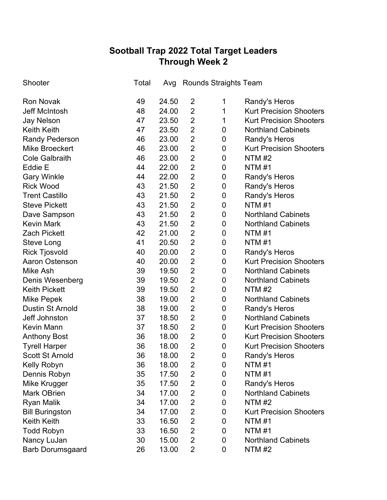# **Sootball Trap 2022 Total Target Leaders Through Week 2**

| Shooter                 | Total | Avg   |                | <b>Rounds Straights Team</b> |                                |
|-------------------------|-------|-------|----------------|------------------------------|--------------------------------|
| <b>Ron Novak</b>        | 49    | 24.50 | 2              | 1                            | Randy's Heros                  |
| <b>Jeff McIntosh</b>    | 48    | 24.00 | $\overline{2}$ | 1                            | <b>Kurt Precision Shooters</b> |
| <b>Jay Nelson</b>       | 47    | 23.50 | $\overline{2}$ | 1                            | <b>Kurt Precision Shooters</b> |
| <b>Keith Keith</b>      | 47    | 23.50 | $\overline{2}$ | 0                            | <b>Northland Cabinets</b>      |
| <b>Randy Pederson</b>   | 46    | 23.00 | $\overline{2}$ | 0                            | Randy's Heros                  |
| <b>Mike Broeckert</b>   | 46    | 23.00 | $\overline{2}$ | 0                            | <b>Kurt Precision Shooters</b> |
| <b>Cole Galbraith</b>   | 46    | 23.00 | $\overline{2}$ | 0                            | <b>NTM #2</b>                  |
| Eddie E                 | 44    | 22.00 | $\overline{2}$ | 0                            | <b>NTM#1</b>                   |
| <b>Gary Winkle</b>      | 44    | 22.00 | $\overline{2}$ | 0                            | Randy's Heros                  |
| <b>Rick Wood</b>        | 43    | 21.50 | $\overline{2}$ | 0                            | Randy's Heros                  |
| <b>Trent Castillo</b>   | 43    | 21.50 | $\overline{2}$ | 0                            | Randy's Heros                  |
| <b>Steve Pickett</b>    | 43    | 21.50 | $\overline{2}$ | 0                            | <b>NTM#1</b>                   |
| Dave Sampson            | 43    | 21.50 | $\overline{2}$ | 0                            | <b>Northland Cabinets</b>      |
| <b>Kevin Mark</b>       | 43    | 21.50 | $\overline{2}$ | 0                            | <b>Northland Cabinets</b>      |
| <b>Zach Pickett</b>     | 42    | 21.00 | $\overline{2}$ | 0                            | <b>NTM#1</b>                   |
| <b>Steve Long</b>       | 41    | 20.50 | $\overline{2}$ | 0                            | <b>NTM#1</b>                   |
| <b>Rick Tjosvold</b>    | 40    | 20.00 | $\overline{2}$ | 0                            | Randy's Heros                  |
| <b>Aaron Ostenson</b>   | 40    | 20.00 | $\overline{2}$ | 0                            | <b>Kurt Precision Shooters</b> |
| Mike Ash                | 39    | 19.50 | $\overline{2}$ | $\pmb{0}$                    | <b>Northland Cabinets</b>      |
| Denis Wesenberg         | 39    | 19.50 | $\overline{2}$ | 0                            | <b>Northland Cabinets</b>      |
| <b>Keith Pickett</b>    | 39    | 19.50 | $\overline{2}$ | $\pmb{0}$                    | <b>NTM#2</b>                   |
| Mike Pepek              | 38    | 19.00 | $\overline{2}$ | 0                            | <b>Northland Cabinets</b>      |
| <b>Dustin St Arnold</b> | 38    | 19.00 | $\overline{2}$ | $\pmb{0}$                    | Randy's Heros                  |
| Jeff Johnston           | 37    | 18.50 | $\overline{2}$ | $\pmb{0}$                    | <b>Northland Cabinets</b>      |
| <b>Kevin Mann</b>       | 37    | 18.50 | $\overline{2}$ | $\pmb{0}$                    | <b>Kurt Precision Shooters</b> |
| <b>Anthony Bost</b>     | 36    | 18.00 | $\overline{2}$ | $\pmb{0}$                    | <b>Kurt Precision Shooters</b> |
| <b>Tyrell Harper</b>    | 36    | 18.00 | $\overline{2}$ | $\mathbf 0$                  | <b>Kurt Precision Shooters</b> |
| <b>Scott St Arnold</b>  | 36    | 18.00 | $\overline{2}$ | 0                            | Randy's Heros                  |
| Kelly Robyn             | 36    | 18.00 | $\overline{2}$ | 0                            | <b>NTM#1</b>                   |
| Dennis Robyn            | 35    | 17.50 | $\overline{2}$ | 0                            | <b>NTM#1</b>                   |
| Mike Krugger            | 35    | 17.50 | $\overline{2}$ | 0                            | Randy's Heros                  |
| <b>Mark OBrien</b>      | 34    | 17.00 | $\overline{2}$ | 0                            | <b>Northland Cabinets</b>      |
| <b>Ryan Malik</b>       | 34    | 17.00 | $\overline{2}$ | 0                            | <b>NTM #2</b>                  |
| <b>Bill Buringston</b>  | 34    | 17.00 | $\overline{2}$ | 0                            | <b>Kurt Precision Shooters</b> |
| <b>Keith Keith</b>      | 33    | 16.50 | $\overline{2}$ | 0                            | <b>NTM #1</b>                  |
| <b>Todd Robyn</b>       | 33    | 16.50 | $\overline{2}$ | 0                            | <b>NTM#1</b>                   |
| Nancy LuJan             | 30    | 15.00 | $\overline{2}$ | 0                            | <b>Northland Cabinets</b>      |
| <b>Barb Dorumsgaard</b> | 26    | 13.00 | $\overline{2}$ | 0                            | <b>NTM #2</b>                  |